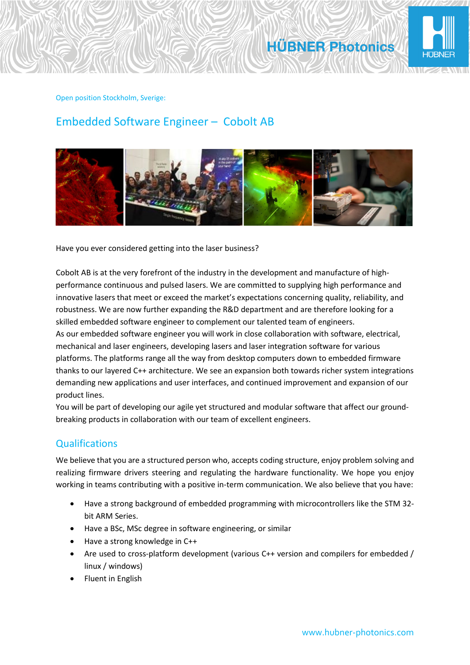

#### Open position Stockholm, Sverige:

# Embedded Software Engineer – Cobolt AB



Have you ever considered getting into the laser business?

Cobolt AB is at the very forefront of the industry in the development and manufacture of highperformance continuous and pulsed lasers. We are committed to supplying high performance and innovative lasers that meet or exceed the market's expectations concerning quality, reliability, and robustness. We are now further expanding the R&D department and are therefore looking for a skilled embedded software engineer to complement our talented team of engineers. As our embedded software engineer you will work in close collaboration with software, electrical, mechanical and laser engineers, developing lasers and laser integration software for various platforms. The platforms range all the way from desktop computers down to embedded firmware thanks to our layered C++ architecture. We see an expansion both towards richer system integrations demanding new applications and user interfaces, and continued improvement and expansion of our product lines.

You will be part of developing our agile yet structured and modular software that affect our groundbreaking products in collaboration with our team of excellent engineers.

## Qualifications

We believe that you are a structured person who, accepts coding structure, enjoy problem solving and realizing firmware drivers steering and regulating the hardware functionality. We hope you enjoy working in teams contributing with a positive in-term communication. We also believe that you have:

- Have a strong background of embedded programming with microcontrollers like the STM 32 bit ARM Series.
- Have a BSc, MSc degree in software engineering, or similar
- Have a strong knowledge in C++
- Are used to cross-platform development (various C++ version and compilers for embedded / linux / windows)
- Fluent in English